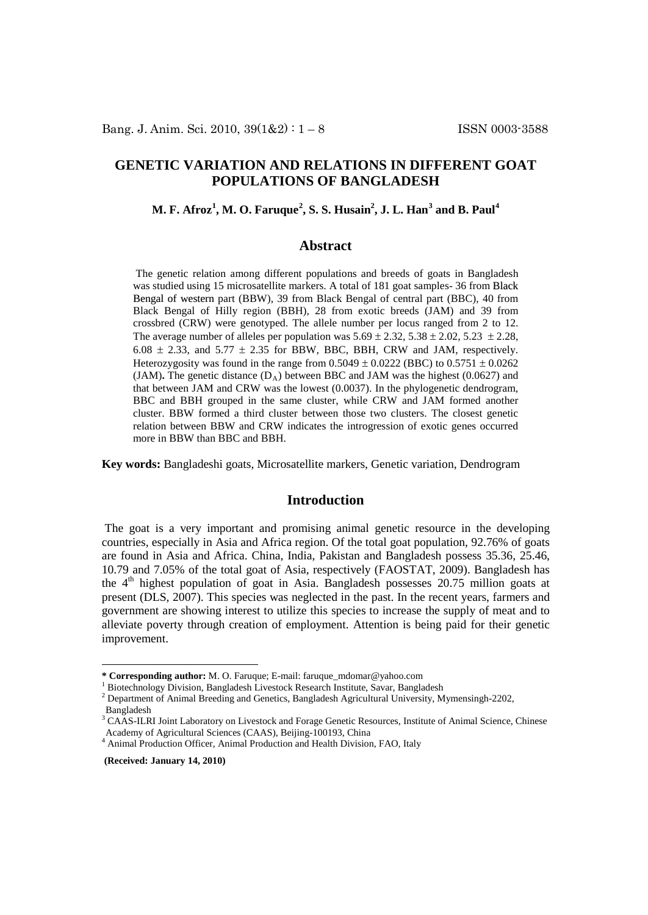# **GENETIC VARIATION AND RELATIONS IN DIFFERENT GOAT POPULATIONS OF BANGLADESH**

## **M. F. Afroz[1](#page-0-0) , M. O. Faruque[2](#page-0-1) , S. S. Husain2 , J. L. Han[3](#page-0-2) and B. Paul[4](#page-0-3)**

## **Abstract**

The genetic relation among different populations and breeds of goats in Bangladesh was studied using 15 microsatellite markers. A total of 181 goat samples- 36 from Black Bengal of western part (BBW), 39 from Black Bengal of central part (BBC), 40 from Black Bengal of Hilly region (BBH), 28 from exotic breeds (JAM) and 39 from crossbred (CRW) were genotyped. The allele number per locus ranged from 2 to 12. The average number of alleles per population was  $5.69 \pm 2.32$ ,  $5.38 \pm 2.02$ ,  $5.23 \pm 2.28$ ,  $6.08 \pm 2.33$ , and  $5.77 \pm 2.35$  for BBW, BBC, BBH, CRW and JAM, respectively. Heterozygosity was found in the range from  $0.5049 \pm 0.0222$  (BBC) to  $0.5751 \pm 0.0262$ (JAM). The genetic distance  $(D_A)$  between BBC and JAM was the highest (0.0627) and that between JAM and CRW was the lowest (0.0037). In the phylogenetic dendrogram, BBC and BBH grouped in the same cluster, while CRW and JAM formed another cluster. BBW formed a third cluster between those two clusters. The closest genetic relation between BBW and CRW indicates the introgression of exotic genes occurred more in BBW than BBC and BBH.

**Key words:** Bangladeshi goats, Microsatellite markers, Genetic variation, Dendrogram

## **Introduction**

The goat is a very important and promising animal genetic resource in the developing countries, especially in Asia and Africa region. Of the total goat population, 92.76% of goats are found in Asia and Africa. China, India, Pakistan and Bangladesh possess 35.36, 25.46, 10.79 and 7.05% of the total goat of Asia, respectively (FAOSTAT, 2009). Bangladesh has the  $4<sup>th</sup>$  highest population of goat in Asia. Bangladesh possesses 20.75 million goats at present (DLS, 2007). This species was neglected in the past. In the recent years, farmers and government are showing interest to utilize this species to increase the supply of meat and to alleviate poverty through creation of employment. Attention is being paid for their genetic improvement.

 $\overline{a}$ 

**(Received: January 14, 2010)**

<span id="page-0-0"></span><sup>\*</sup> Corresponding author: M. O. Faruque; E-mail: faruque\_mdomar@yahoo.com<br>
<sup>1</sup> Biotechnology Division, Bangladesh Livestock Research Institute, Savar, Bangladesh<br>
<sup>2</sup> Department of Animal Breeding and Genetics, Bangladesh A

Bangladesh

<span id="page-0-2"></span><span id="page-0-1"></span><sup>&</sup>lt;sup>3</sup> CAAS-ILRI Joint Laboratory on Livestock and Forage Genetic Resources, Institute of Animal Science, Chinese Academy of Agricultural Sciences (CAAS), Beijing-100193, China

<span id="page-0-3"></span><sup>&</sup>lt;sup>4</sup> Animal Production Officer, Animal Production and Health Division, FAO, Italy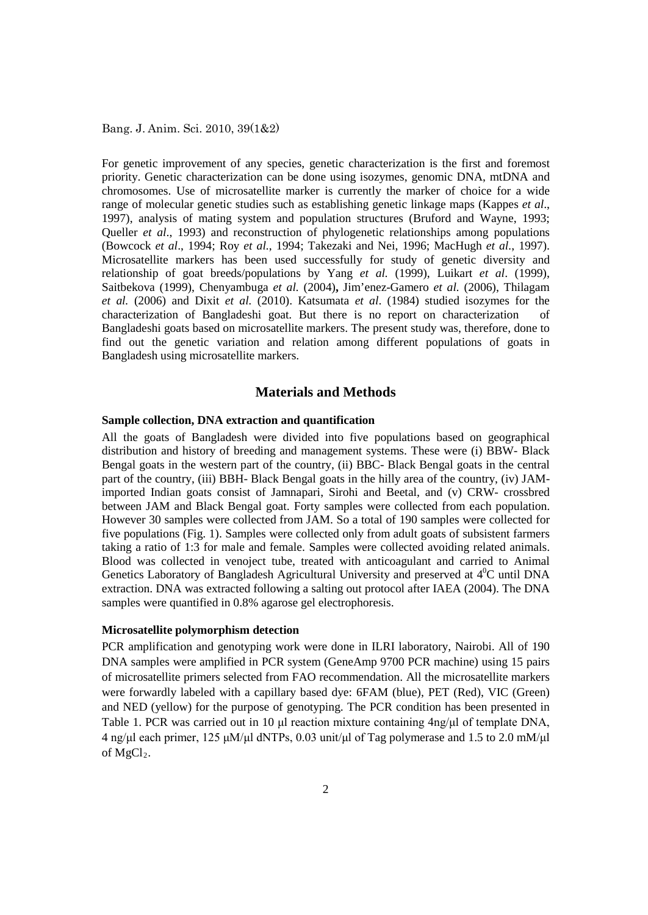For genetic improvement of any species, genetic characterization is the first and foremost priority. Genetic characterization can be done using isozymes, genomic DNA, mtDNA and chromosomes. Use of microsatellite marker is currently the marker of choice for a wide range of molecular genetic studies such as establishing genetic linkage maps (Kappes *et al*., 1997), analysis of mating system and population structures (Bruford and Wayne, 1993; Queller *et al*., 1993) and reconstruction of phylogenetic relationships among populations (Bowcock *et al*., 1994; Roy *et al.*, 1994; Takezaki and Nei, 1996; MacHugh *et al.*, 1997). Microsatellite markers has been used successfully for study of genetic diversity and relationship of goat breeds/populations by Yang *et al.* (1999), Luikart *et al*. (1999), Saitbekova (1999), Chenyambuga *et al.* (2004)**,** Jim'enez-Gamero *et al.* (2006), Thilagam *et al.* (2006) and Dixit *et al.* (2010). Katsumata *et al*. (1984) studied isozymes for the characterization of Bangladeshi goat. But there is no report on characterization of Bangladeshi goats based on microsatellite markers. The present study was, therefore, done to find out the genetic variation and relation among different populations of goats in Bangladesh using microsatellite markers.

### **Materials and Methods**

#### **Sample collection, DNA extraction and quantification**

All the goats of Bangladesh were divided into five populations based on geographical distribution and history of breeding and management systems. These were (i) BBW- Black Bengal goats in the western part of the country, (ii) BBC- Black Bengal goats in the central part of the country, (iii) BBH- Black Bengal goats in the hilly area of the country, (iv) JAMimported Indian goats consist of Jamnapari, Sirohi and Beetal, and (v) CRW- crossbred between JAM and Black Bengal goat. Forty samples were collected from each population. However 30 samples were collected from JAM. So a total of 190 samples were collected for five populations (Fig. 1). Samples were collected only from adult goats of subsistent farmers taking a ratio of 1:3 for male and female. Samples were collected avoiding related animals. Blood was collected in venoject tube, treated with anticoagulant and carried to Animal Genetics Laboratory of Bangladesh Agricultural University and preserved at  $4^0C$  until DNA extraction. DNA was extracted following a salting out protocol after IAEA (2004). The DNA samples were quantified in 0.8% agarose gel electrophoresis.

#### **Microsatellite polymorphism detection**

PCR amplification and genotyping work were done in ILRI laboratory, Nairobi. All of 190 DNA samples were amplified in PCR system (GeneAmp 9700 PCR machine) using 15 pairs of microsatellite primers selected from FAO recommendation. All the microsatellite markers were forwardly labeled with a capillary based dye: 6FAM (blue), PET (Red), VIC (Green) and NED (yellow) for the purpose of genotyping. The PCR condition has been presented in Table 1. PCR was carried out in 10 μl reaction mixture containing  $4ng/μ$  of template DNA, 4 ng/μl each primer, 125 μM/μl dNTPs, 0.03 unit/μl of Tag polymerase and 1.5 to 2.0 mM/μl of  $MgCl<sub>2</sub>$ .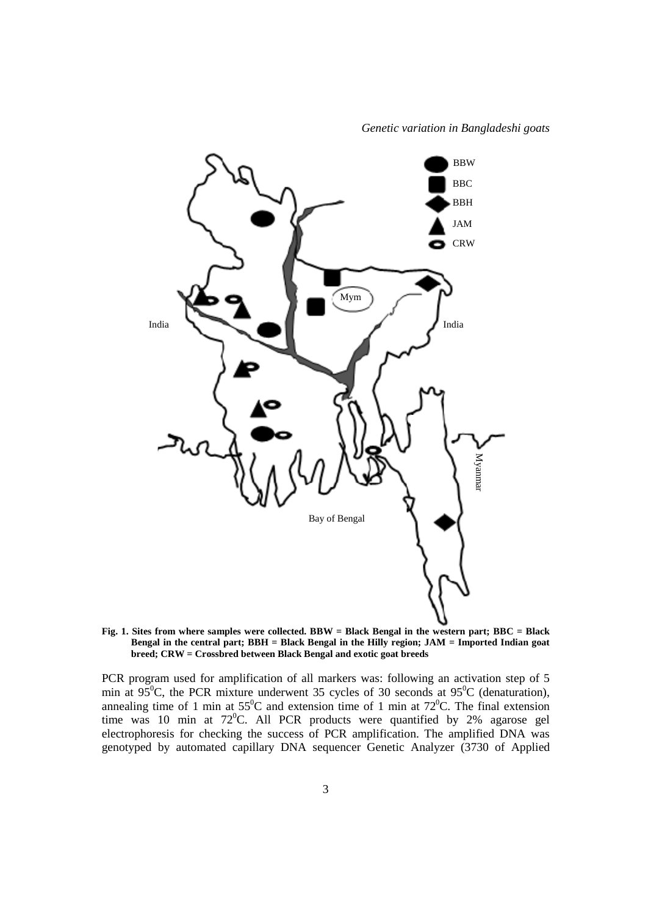

**Fig. 1. Sites from where samples were collected. BBW = Black Bengal in the western part; BBC = Black Bengal in the central part; BBH = Black Bengal in the Hilly region; JAM = Imported Indian goat breed; CRW = Crossbred between Black Bengal and exotic goat breeds**

PCR program used for amplification of all markers was: following an activation step of 5 min at  $95^{\circ}$ C, the PCR mixture underwent 35 cycles of 30 seconds at  $95^{\circ}$ C (denaturation), annealing time of 1 min at  $55^{\circ}$ C and extension time of 1 min at  $72^{\circ}$ C. The final extension time was 10 min at  $72^{\circ}$ C. All PCR products were quantified by 2% agarose gel electrophoresis for checking the success of PCR amplification. The amplified DNA was genotyped by automated capillary DNA sequencer Genetic Analyzer (3730 of Applied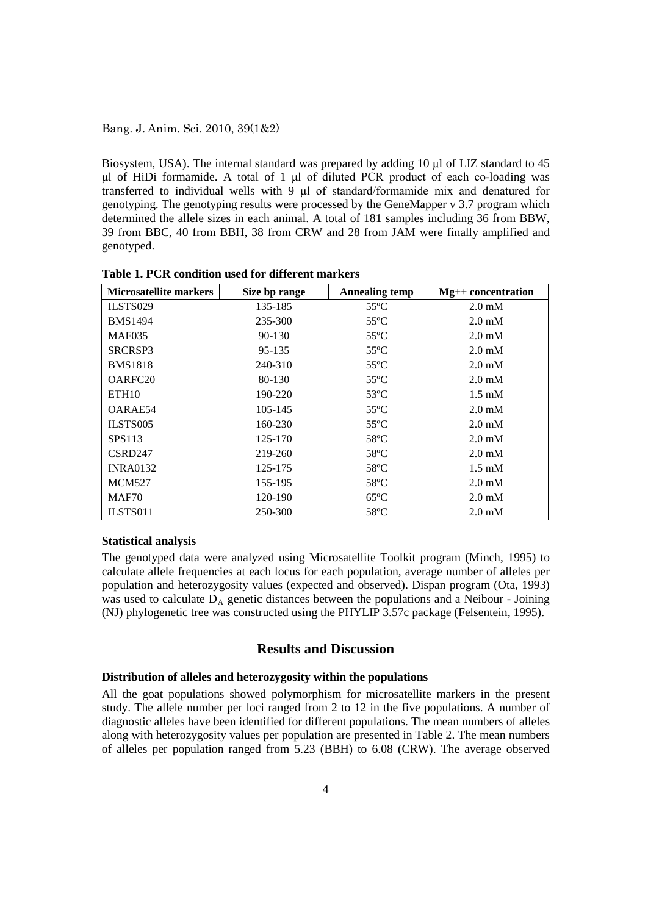Biosystem, USA). The internal standard was prepared by adding 10 μl of LIZ standard to 45 μl of HiDi formamide. A total of 1 μl of diluted PCR product of each co-loading was transferred to individual wells with 9 μl of standard/formamide mix and denatured for genotyping. The genotyping results were processed by the GeneMapper v 3.7 program which determined the allele sizes in each animal. A total of 181 samples including 36 from BBW, 39 from BBC, 40 from BBH, 38 from CRW and 28 from JAM were finally amplified and genotyped.

| <b>Microsatellite markers</b> | Size bp range | <b>Annealing temp</b> | $Mg++concentration$ |  |
|-------------------------------|---------------|-----------------------|---------------------|--|
| ILSTS029                      | 135-185       | $55^{\circ}$ C        | $2.0 \text{ mM}$    |  |
| <b>BMS1494</b>                | 235-300       | $55^{\circ}$ C        | $2.0 \text{ mM}$    |  |
| <b>MAF035</b>                 | 90-130        | $55^{\circ}$ C        | $2.0 \text{ mM}$    |  |
| SRCRSP3                       | 95-135        | $55^{\circ}$ C        | $2.0 \text{ mM}$    |  |
| <b>BMS1818</b>                | 240-310       | $55^{\circ}$ C        | $2.0 \text{ mM}$    |  |
| OARFC <sub>20</sub>           | 80-130        | $55^{\circ}$ C        | $2.0 \text{ mM}$    |  |
| ETH <sub>10</sub>             | 190-220       | $53^{\circ}$ C        | $1.5 \text{ mM}$    |  |
| OARAE54                       | 105-145       | $55^{\circ}$ C        | $2.0 \text{ mM}$    |  |
| ILSTS005                      | 160-230       | $55^{\circ}$ C        | $2.0 \text{ mM}$    |  |
| SPS113                        | 125-170       | $58^{\circ}$ C        | $2.0 \text{ mM}$    |  |
| CSRD247                       | 219-260       | $58^{\circ}$ C        | $2.0 \text{ mM}$    |  |
| <b>INRA0132</b>               | 125-175       | $58^{\circ}$ C        | $1.5 \text{ mM}$    |  |
| <b>MCM527</b>                 | 155-195       | $58^{\circ}$ C        | $2.0 \text{ mM}$    |  |
| MAF70                         | 120-190       | $65^{\circ}$ C        | $2.0 \text{ mM}$    |  |
| ILSTS011                      | 250-300       | $58^{\circ}$ C        | $2.0 \text{ mM}$    |  |

**Table 1. PCR condition used for different markers**

#### **Statistical analysis**

The genotyped data were analyzed using Microsatellite Toolkit program (Minch, 1995) to calculate allele frequencies at each locus for each population, average number of alleles per population and heterozygosity values (expected and observed). Dispan program (Ota, 1993) was used to calculate  $D_A$  genetic distances between the populations and a Neibour - Joining (NJ) phylogenetic tree was constructed using the PHYLIP 3.57c package (Felsentein, 1995).

## **Results and Discussion**

### **Distribution of alleles and heterozygosity within the populations**

All the goat populations showed polymorphism for microsatellite markers in the present study. The allele number per loci ranged from 2 to 12 in the five populations. A number of diagnostic alleles have been identified for different populations. The mean numbers of alleles along with heterozygosity values per population are presented in Table 2. The mean numbers of alleles per population ranged from 5.23 (BBH) to 6.08 (CRW). The average observed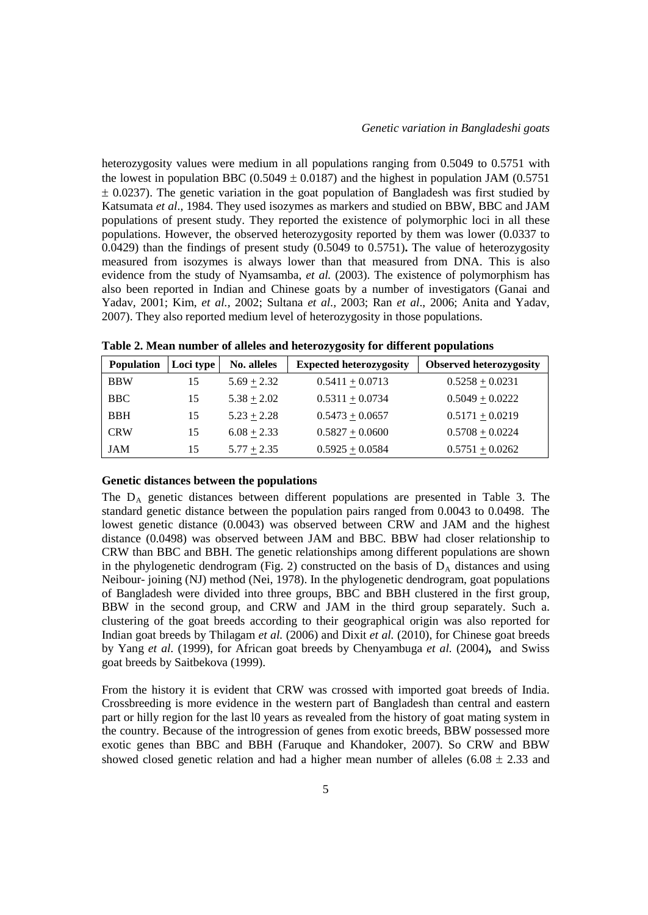heterozygosity values were medium in all populations ranging from 0.5049 to 0.5751 with the lowest in population BBC (0.5049  $\pm$  0.0187) and the highest in population JAM (0.5751)  $\pm$  0.0237). The genetic variation in the goat population of Bangladesh was first studied by Katsumata *et al*., 1984. They used isozymes as markers and studied on BBW, BBC and JAM populations of present study. They reported the existence of polymorphic loci in all these populations. However, the observed heterozygosity reported by them was lower (0.0337 to 0.0429) than the findings of present study (0.5049 to 0.5751)**.** The value of heterozygosity measured from isozymes is always lower than that measured from DNA. This is also evidence from the study of Nyamsamba, *et al.* (2003). The existence of polymorphism has also been reported in Indian and Chinese goats by a number of investigators (Ganai and Yadav*,* 2001; Kim, *et al.,* 2002; Sultana *et al.,* 2003; Ran *et al*., 2006; Anita and Yadav*,* 2007). They also reported medium level of heterozygosity in those populations.

| <b>Population</b> | Loci type | No. alleles     | <b>Expected heterozygosity</b> | <b>Observed heterozygosity</b> |
|-------------------|-----------|-----------------|--------------------------------|--------------------------------|
| <b>BBW</b>        | 15        | $5.69 \pm 2.32$ | $0.5411 \pm 0.0713$            | $0.5258 \pm 0.0231$            |
| <b>BBC</b>        | 15        | $5.38 + 2.02$   | $0.5311 + 0.0734$              | $0.5049 + 0.0222$              |
| <b>BBH</b>        | 15        | $5.23 + 2.28$   | $0.5473 + 0.0657$              | $0.5171 + 0.0219$              |
| <b>CRW</b>        | 15        | $6.08 \pm 2.33$ | $0.5827 + 0.0600$              | $0.5708 + 0.0224$              |
| <b>JAM</b>        | 15        | $5.77 + 2.35$   | $0.5925 + 0.0584$              | $0.5751 + 0.0262$              |

**Table 2. Mean number of alleles and heterozygosity for different populations**

#### **Genetic distances between the populations**

The  $D_A$  genetic distances between different populations are presented in Table 3. The standard genetic distance between the population pairs ranged from 0.0043 to 0.0498. The lowest genetic distance (0.0043) was observed between CRW and JAM and the highest distance (0.0498) was observed between JAM and BBC. BBW had closer relationship to CRW than BBC and BBH. The genetic relationships among different populations are shown in the phylogenetic dendrogram (Fig. 2) constructed on the basis of  $D_A$  distances and using Neibour- joining (NJ) method (Nei, 1978). In the phylogenetic dendrogram, goat populations of Bangladesh were divided into three groups, BBC and BBH clustered in the first group, BBW in the second group, and CRW and JAM in the third group separately. Such a. clustering of the goat breeds according to their geographical origin was also reported for Indian goat breeds by Thilagam *et al.* (2006) and Dixit *et al.* (2010), for Chinese goat breeds by Yang *et al.* (1999), for African goat breeds by Chenyambuga *et al.* (2004)**,** and Swiss goat breeds by Saitbekova (1999).

From the history it is evident that CRW was crossed with imported goat breeds of India. Crossbreeding is more evidence in the western part of Bangladesh than central and eastern part or hilly region for the last l0 years as revealed from the history of goat mating system in the country. Because of the introgression of genes from exotic breeds, BBW possessed more exotic genes than BBC and BBH (Faruque and Khandoker, 2007). So CRW and BBW showed closed genetic relation and had a higher mean number of alleles  $(6.08 \pm 2.33)$  and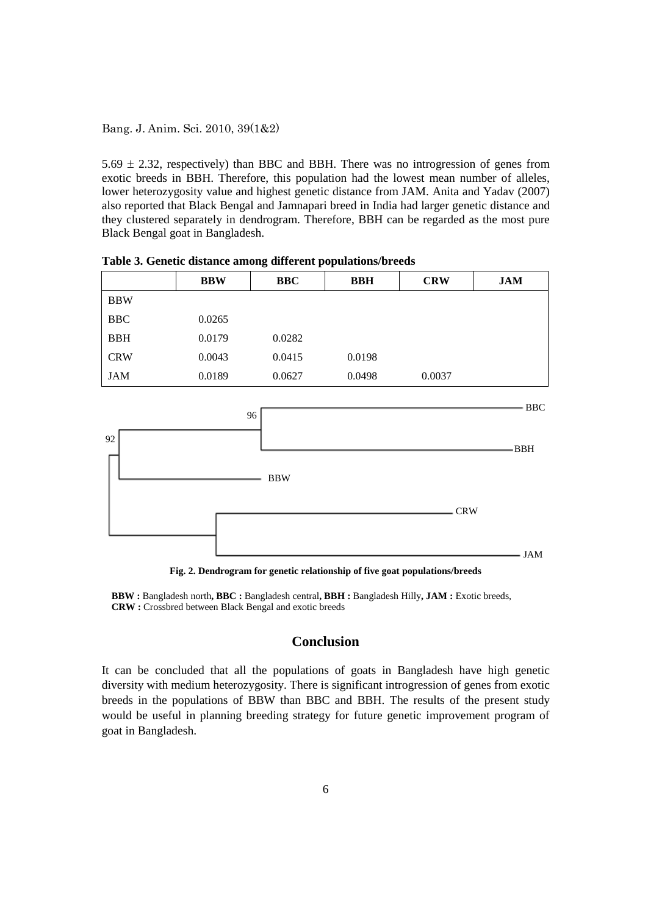5.69  $\pm$  2.32, respectively) than BBC and BBH. There was no introgression of genes from exotic breeds in BBH. Therefore, this population had the lowest mean number of alleles, lower heterozygosity value and highest genetic distance from JAM. Anita and Yadav (2007) also reported that Black Bengal and Jamnapari breed in India had larger genetic distance and they clustered separately in dendrogram. Therefore, BBH can be regarded as the most pure Black Bengal goat in Bangladesh.

|            | <b>BBW</b> | <b>BBC</b> | <b>BBH</b> | <b>CRW</b> | <b>JAM</b> |
|------------|------------|------------|------------|------------|------------|
| <b>BBW</b> |            |            |            |            |            |
| <b>BBC</b> | 0.0265     |            |            |            |            |
| <b>BBH</b> | 0.0179     | 0.0282     |            |            |            |
| <b>CRW</b> | 0.0043     | 0.0415     | 0.0198     |            |            |
| <b>JAM</b> | 0.0189     | 0.0627     | 0.0498     | 0.0037     |            |

**Table 3. Genetic distance among different populations/breeds**



**Fig. 2. Dendrogram for genetic relationship of five goat populations/breeds**

**BBW :** Bangladesh north**, BBC :** Bangladesh central**, BBH :** Bangladesh Hilly**, JAM :** Exotic breeds, **CRW :** Crossbred between Black Bengal and exotic breeds

## **Conclusion**

It can be concluded that all the populations of goats in Bangladesh have high genetic diversity with medium heterozygosity. There is significant introgression of genes from exotic breeds in the populations of BBW than BBC and BBH. The results of the present study would be useful in planning breeding strategy for future genetic improvement program of goat in Bangladesh.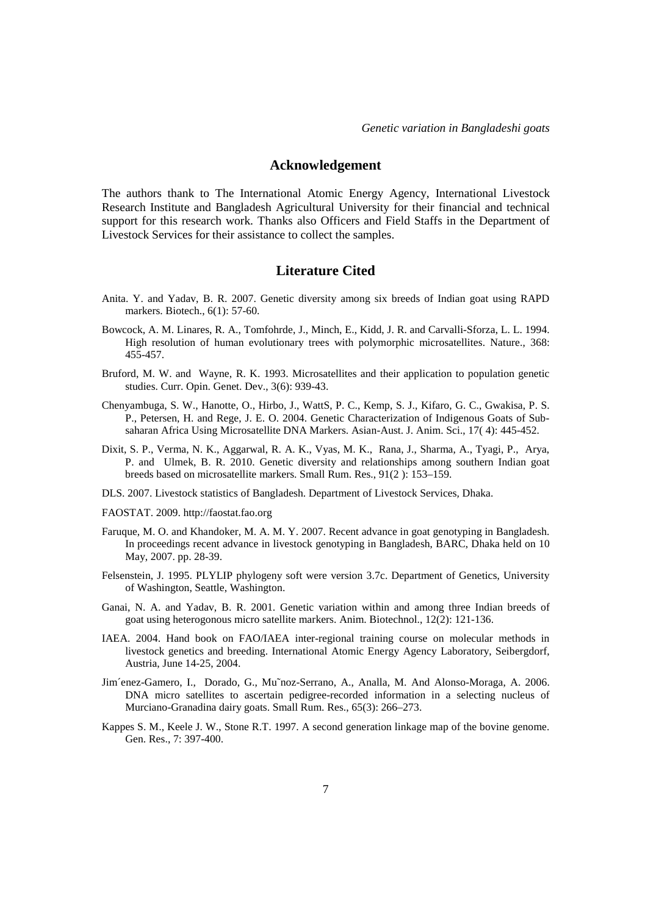### **Acknowledgement**

The authors thank to The International Atomic Energy Agency, International Livestock Research Institute and Bangladesh Agricultural University for their financial and technical support for this research work. Thanks also Officers and Field Staffs in the Department of Livestock Services for their assistance to collect the samples.

### **Literature Cited**

- Anita. Y. and Yadav, B. R. 2007. Genetic diversity among six breeds of Indian goat using RAPD markers. Biotech., 6(1): 57-60.
- Bowcock, A. M. Linares, R. A., Tomfohrde, J., Minch, E., Kidd, J. R. and Carvalli-Sforza, L. L. 1994. High resolution of human evolutionary trees with polymorphic microsatellites. Nature., 368: 455-457.
- Bruford, M. W. and Wayne, R. K. 1993. Microsatellites and their application to population genetic studies. Curr. Opin. Genet. Dev., 3(6): 939-43.
- Chenyambuga, S. W., Hanotte, O., Hirbo, J., WattS, P. C., Kemp, S. J., Kifaro, G. C., Gwakisa, P. S. P., Petersen, H. and Rege, J. E. O. 2004. Genetic Characterization of Indigenous Goats of Subsaharan Africa Using Microsatellite DNA Markers. Asian-Aust. J. Anim. Sci., 17( 4): 445-452.
- Dixit, S. P., Verma, N. K., Aggarwal, R. A. K., Vyas, M. K., Rana, J., Sharma, A., Tyagi, P., Arya, P. and Ulmek, B. R. 2010. Genetic diversity and relationships among southern Indian goat breeds based on microsatellite markers. Small Rum. Res., 91(2 ): 153–159.
- DLS. 2007. Livestock statistics of Bangladesh. Department of Livestock Services*,* Dhaka.
- FAOSTAT. 2009. http://faostat.fao.org
- Faruque, M. O. and Khandoker, M. A. M. Y. 2007. Recent advance in goat genotyping in Bangladesh. In proceedings recent advance in livestock genotyping in Bangladesh, BARC, Dhaka held on 10 May, 2007. pp. 28-39.
- Felsenstein, J. 1995. PLYLIP phylogeny soft were version 3.7c. Department of Genetics, University of Washington, Seattle, Washington.
- Ganai, N. A. and Yadav, B. R. 2001. Genetic variation within and among three Indian breeds of goat using heterogonous micro satellite markers. Anim. Biotechnol., 12(2): 121-136.
- IAEA. 2004. Hand book on FAO/IAEA inter-regional training course on molecular methods in livestock genetics and breeding. International Atomic Energy Agency Laboratory, Seibergdorf, Austria, June 14-25, 2004.
- Jim´enez-Gamero, I., Dorado, G., Mu˜noz-Serrano, A., Analla, M. And Alonso-Moraga, A. 2006. DNA micro satellites to ascertain pedigree-recorded information in a selecting nucleus of Murciano-Granadina dairy goats. Small Rum. Res., 65(3): 266–273.
- Kappes S. M., Keele J. W., Stone R.T. 1997. A second generation linkage map of the bovine genome. Gen. Res., 7: 397-400.